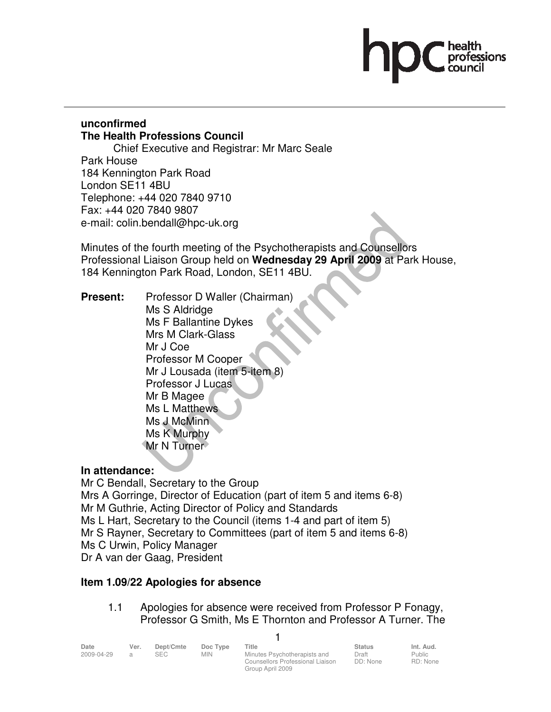# ssions:

# **unconfirmed The Health Professions Council**

 Chief Executive and Registrar: Mr Marc Seale Park House 184 Kennington Park Road London SE11 4BU Telephone: +44 020 7840 9710 Fax: +44 020 7840 9807 e-mail: colin.bendall@hpc-uk.org

Minutes of the fourth meeting of the Psychotherapists and Counsellors Professional Liaison Group held on **Wednesday 29 April 2009** at Park House, 184 Kennington Park Road, London, SE11 4BU.

**Present:** Professor D Waller (Chairman) Ms S Aldridge Ms F Ballantine Dykes Mrs M Clark-Glass Mr J Coe Professor M Cooper Mr J Lousada (item 5-item 8) Professor J Lucas Mr B Magee Ms L Matthews Ms J McMinn Ms K Murphy Mr N Turner

# **In attendance:**

Mr C Bendall, Secretary to the Group Mrs A Gorringe, Director of Education (part of item 5 and items 6-8) Mr M Guthrie, Acting Director of Policy and Standards Ms L Hart, Secretary to the Council (items 1-4 and part of item 5) Mr S Rayner, Secretary to Committees (part of item 5 and items 6-8) Ms C Urwin, Policy Manager Dr A van der Gaag, President

# **Item 1.09/22 Apologies for absence**

# 1.1 Apologies for absence were received from Professor P Fonagy, Professor G Smith, Ms E Thornton and Professor A Turner. The

1

| Date       | Ver. | Dept/Cmte | Doc Type | Title                            | <b>Status</b> | Int. Aud. |
|------------|------|-----------|----------|----------------------------------|---------------|-----------|
| 2009-04-29 |      | SEC       | MIN      | Minutes Psychotherapists and     | Draft         | Public    |
|            |      |           |          | Counsellors Professional Liaison | DD: None      | RD: None  |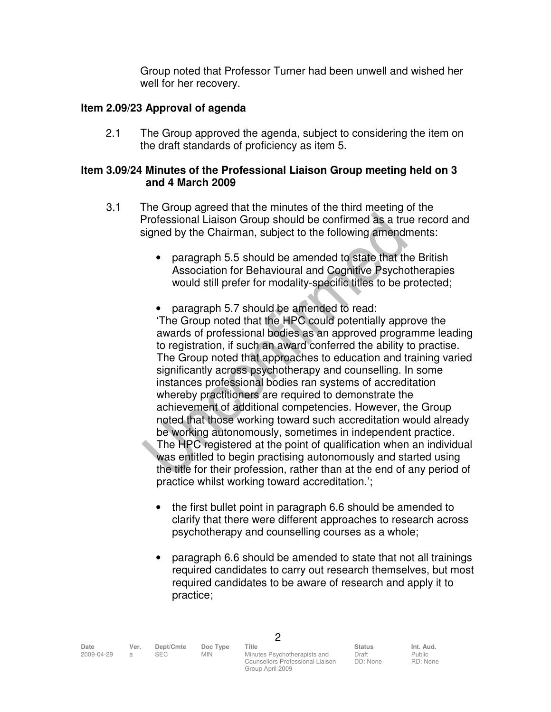Group noted that Professor Turner had been unwell and wished her well for her recovery.

#### **Item 2.09/23 Approval of agenda**

2.1 The Group approved the agenda, subject to considering the item on the draft standards of proficiency as item 5.

#### **Item 3.09/24 Minutes of the Professional Liaison Group meeting held on 3 and 4 March 2009**

- 3.1 The Group agreed that the minutes of the third meeting of the Professional Liaison Group should be confirmed as a true record and signed by the Chairman, subject to the following amendments:
	- paragraph 5.5 should be amended to state that the British Association for Behavioural and Cognitive Psychotherapies would still prefer for modality-specific titles to be protected;
	- paragraph 5.7 should be amended to read: 'The Group noted that the HPC could potentially approve the awards of professional bodies as an approved programme leading to registration, if such an award conferred the ability to practise. The Group noted that approaches to education and training varied significantly across psychotherapy and counselling. In some instances professional bodies ran systems of accreditation whereby practitioners are required to demonstrate the achievement of additional competencies. However, the Group noted that those working toward such accreditation would already be working autonomously, sometimes in independent practice. The HPC registered at the point of qualification when an individual was entitled to begin practising autonomously and started using the title for their profession, rather than at the end of any period of practice whilst working toward accreditation.';
		- the first bullet point in paragraph 6.6 should be amended to clarify that there were different approaches to research across psychotherapy and counselling courses as a whole;
	- paragraph 6.6 should be amended to state that not all trainings required candidates to carry out research themselves, but most required candidates to be aware of research and apply it to practice;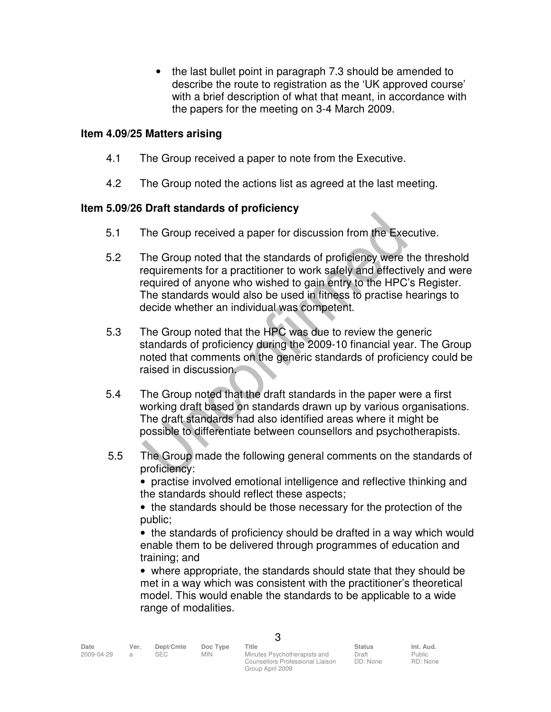• the last bullet point in paragraph 7.3 should be amended to describe the route to registration as the 'UK approved course' with a brief description of what that meant, in accordance with the papers for the meeting on 3-4 March 2009.

## **Item 4.09/25 Matters arising**

- 4.1 The Group received a paper to note from the Executive.
- 4.2 The Group noted the actions list as agreed at the last meeting.

# **Item 5.09/26 Draft standards of proficiency**

- 5.1 The Group received a paper for discussion from the Executive.
- 5.2 The Group noted that the standards of proficiency were the threshold requirements for a practitioner to work safely and effectively and were required of anyone who wished to gain entry to the HPC's Register. The standards would also be used in fitness to practise hearings to decide whether an individual was competent.
- 5.3 The Group noted that the HPC was due to review the generic standards of proficiency during the 2009-10 financial year. The Group noted that comments on the generic standards of proficiency could be raised in discussion.
- 5.4 The Group noted that the draft standards in the paper were a first working draft based on standards drawn up by various organisations. The draft standards had also identified areas where it might be possible to differentiate between counsellors and psychotherapists.
- 5.5 The Group made the following general comments on the standards of proficiency:

• practise involved emotional intelligence and reflective thinking and the standards should reflect these aspects;

• the standards should be those necessary for the protection of the public;

• the standards of proficiency should be drafted in a way which would enable them to be delivered through programmes of education and training; and

• where appropriate, the standards should state that they should be met in a way which was consistent with the practitioner's theoretical model. This would enable the standards to be applicable to a wide range of modalities.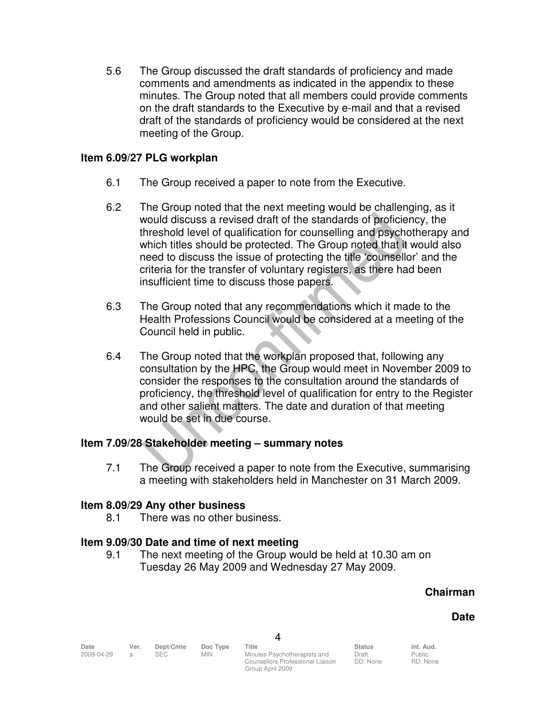5.6 The Group discussed the draft standards of proficiency and made comments and amendments as indicated in the appendix to these minutes. The Group noted that all members could provide comments on the draft standards to the Executive by e-mail and that a revised draft of the standards of proficiency would be considered at the next meeting of the Group.

## **Item 6.09/27 PLG workplan**

- 6.1 The Group received a paper to note from the Executive.
- 6.2 The Group noted that the next meeting would be challenging, as it would discuss a revised draft of the standards of proficiency, the threshold level of qualification for counselling and psychotherapy and which titles should be protected. The Group noted that it would also need to discuss the issue of protecting the title 'counsellor' and the criteria for the transfer of voluntary registers, as there had been insufficient time to discuss those papers.
- 6.3 The Group noted that any recommendations which it made to the Health Professions Council would be considered at a meeting of the Council held in public.
- 6.4 The Group noted that the workplan proposed that, following any consultation by the HPC, the Group would meet in November 2009 to consider the responses to the consultation around the standards of proficiency, the threshold level of qualification for entry to the Register and other salient matters. The date and duration of that meeting would be set in due course.

# **Item 7.09/28 Stakeholder meeting – summary notes**

7.1 The Group received a paper to note from the Executive, summarising a meeting with stakeholders held in Manchester on 31 March 2009.

#### **Item 8.09/29 Any other business**

8.1 There was no other business.

#### **Item 9.09/30 Date and time of next meeting**

 9.1 The next meeting of the Group would be held at 10.30 am on Tuesday 26 May 2009 and Wednesday 27 May 2009.

#### **Chairman**

#### **Date**

Counsellors Professional Liaison Group April 2009

Draft DD: None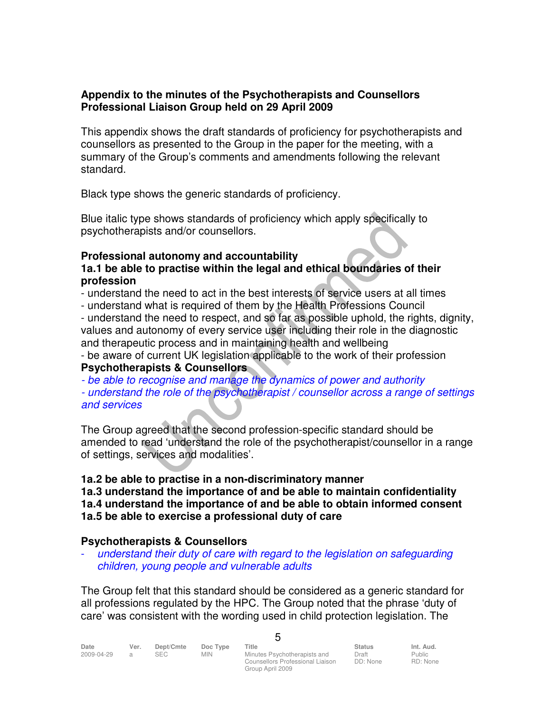## **Appendix to the minutes of the Psychotherapists and Counsellors Professional Liaison Group held on 29 April 2009**

This appendix shows the draft standards of proficiency for psychotherapists and counsellors as presented to the Group in the paper for the meeting, with a summary of the Group's comments and amendments following the relevant standard.

Black type shows the generic standards of proficiency.

Blue italic type shows standards of proficiency which apply specifically to psychotherapists and/or counsellors.

# **Professional autonomy and accountability**

**1a.1 be able to practise within the legal and ethical boundaries of their profession** 

- understand the need to act in the best interests of service users at all times

- understand what is required of them by the Health Professions Council

- understand the need to respect, and so far as possible uphold, the rights, dignity, values and autonomy of every service user including their role in the diagnostic and therapeutic process and in maintaining health and wellbeing

- be aware of current UK legislation applicable to the work of their profession **Psychotherapists & Counsellors** 

- be able to recognise and manage the dynamics of power and authority

- understand the role of the psychotherapist / counsellor across a range of settings and services

The Group agreed that the second profession-specific standard should be amended to read 'understand the role of the psychotherapist/counsellor in a range of settings, services and modalities'.

# **1a.2 be able to practise in a non-discriminatory manner**

**1a.3 understand the importance of and be able to maintain confidentiality 1a.4 understand the importance of and be able to obtain informed consent 1a.5 be able to exercise a professional duty of care** 

# **Psychotherapists & Counsellors**

understand their duty of care with regard to the legislation on safeguarding children, young people and vulnerable adults

The Group felt that this standard should be considered as a generic standard for all professions regulated by the HPC. The Group noted that the phrase 'duty of care' was consistent with the wording used in child protection legislation. The

 $\mathbf{r}$ 

| Date       | Ver. | Dept/Cmte | Doc Type   | Title                            | <b>Status</b> | Int. Aud. |
|------------|------|-----------|------------|----------------------------------|---------------|-----------|
| 2009-04-29 |      | SEC.      | <b>MIN</b> | Minutes Psychotherapists and     | Draft         | Public    |
|            |      |           |            | Counsellors Professional Liaison | DD: None      | RD: None  |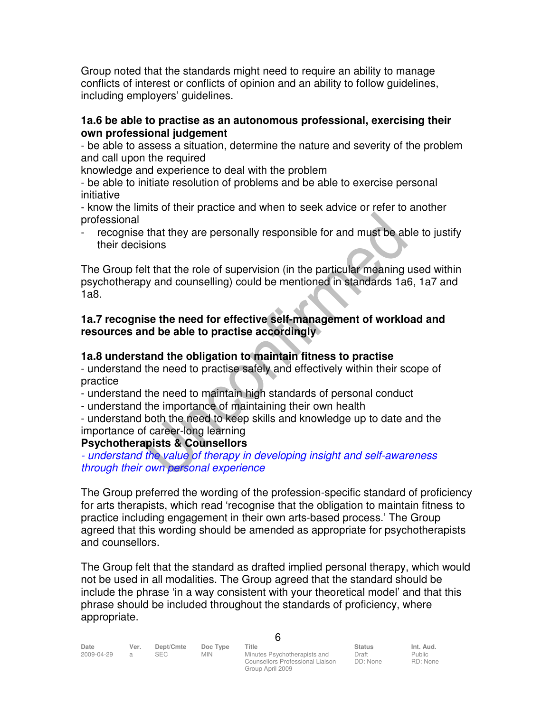Group noted that the standards might need to require an ability to manage conflicts of interest or conflicts of opinion and an ability to follow guidelines, including employers' guidelines.

## **1a.6 be able to practise as an autonomous professional, exercising their own professional judgement**

- be able to assess a situation, determine the nature and severity of the problem and call upon the required

knowledge and experience to deal with the problem

- be able to initiate resolution of problems and be able to exercise personal initiative

- know the limits of their practice and when to seek advice or refer to another professional

recognise that they are personally responsible for and must be able to justify their decisions

The Group felt that the role of supervision (in the particular meaning used within psychotherapy and counselling) could be mentioned in standards 1a6, 1a7 and 1a8.

# **1a.7 recognise the need for effective self-management of workload and resources and be able to practise accordingly**

# **1a.8 understand the obligation to maintain fitness to practise**

- understand the need to practise safely and effectively within their scope of practice

- understand the need to maintain high standards of personal conduct

- understand the importance of maintaining their own health

- understand both the need to keep skills and knowledge up to date and the importance of career-long learning

# **Psychotherapists & Counsellors**

- understand the value of therapy in developing insight and self-awareness through their own personal experience

The Group preferred the wording of the profession-specific standard of proficiency for arts therapists, which read 'recognise that the obligation to maintain fitness to practice including engagement in their own arts-based process.' The Group agreed that this wording should be amended as appropriate for psychotherapists and counsellors.

The Group felt that the standard as drafted implied personal therapy, which would not be used in all modalities. The Group agreed that the standard should be include the phrase 'in a way consistent with your theoretical model' and that this phrase should be included throughout the standards of proficiency, where appropriate.

a SEC MIN Minutes Psychotherapists and Counsellors Professional Liaison Group April 2009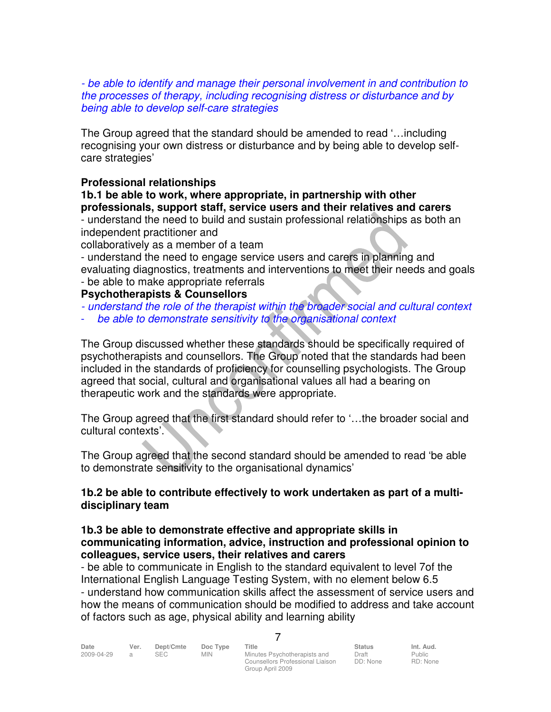- be able to identify and manage their personal involvement in and contribution to the processes of therapy, including recognising distress or disturbance and by being able to develop self-care strategies

The Group agreed that the standard should be amended to read '…including recognising your own distress or disturbance and by being able to develop selfcare strategies'

## **Professional relationships**

# **1b.1 be able to work, where appropriate, in partnership with other professionals, support staff, service users and their relatives and carers**

- understand the need to build and sustain professional relationships as both an independent practitioner and

collaboratively as a member of a team

- understand the need to engage service users and carers in planning and evaluating diagnostics, treatments and interventions to meet their needs and goals - be able to make appropriate referrals

# **Psychotherapists & Counsellors**

- understand the role of the therapist within the broader social and cultural context
- be able to demonstrate sensitivity to the organisational context

The Group discussed whether these standards should be specifically required of psychotherapists and counsellors. The Group noted that the standards had been included in the standards of proficiency for counselling psychologists. The Group agreed that social, cultural and organisational values all had a bearing on therapeutic work and the standards were appropriate.

The Group agreed that the first standard should refer to '…the broader social and cultural contexts'.

The Group agreed that the second standard should be amended to read 'be able to demonstrate sensitivity to the organisational dynamics'

## **1b.2 be able to contribute effectively to work undertaken as part of a multidisciplinary team**

#### **1b.3 be able to demonstrate effective and appropriate skills in communicating information, advice, instruction and professional opinion to colleagues, service users, their relatives and carers**

- be able to communicate in English to the standard equivalent to level 7of the International English Language Testing System, with no element below 6.5 - understand how communication skills affect the assessment of service users and how the means of communication should be modified to address and take account of factors such as age, physical ability and learning ability

7

| Date       | Ver.           | Dept/Cmte | Doc Type   | Title                        | <b>Status</b> | Int. Aud.                   |
|------------|----------------|-----------|------------|------------------------------|---------------|-----------------------------|
| 2009-04-29 | $\overline{a}$ | SEC       | <b>MIN</b> | Minutes Psychotherapists and | Draft         | Public                      |
|            |                |           |            |                              |               | $\sim$ $\sim$ $\sim$ $\sim$ |

Minutes Psychotherapists and Counsellors Professional Liaison Group April 2009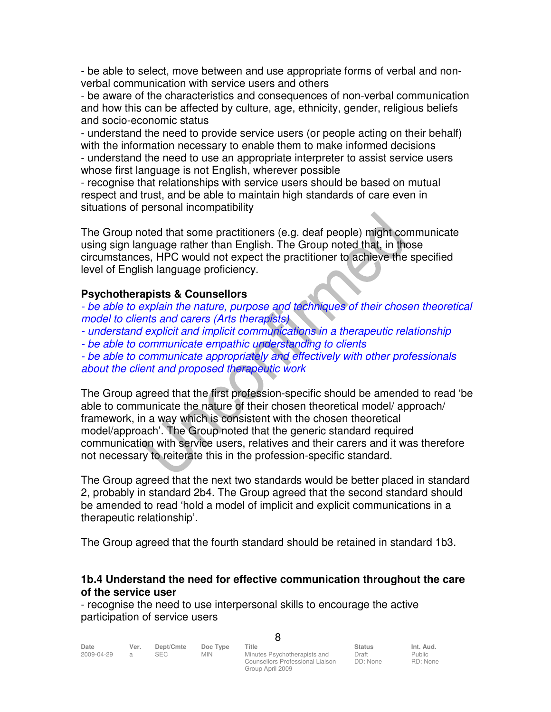- be able to select, move between and use appropriate forms of verbal and nonverbal communication with service users and others

- be aware of the characteristics and consequences of non-verbal communication and how this can be affected by culture, age, ethnicity, gender, religious beliefs and socio-economic status

- understand the need to provide service users (or people acting on their behalf) with the information necessary to enable them to make informed decisions - understand the need to use an appropriate interpreter to assist service users whose first language is not English, wherever possible

- recognise that relationships with service users should be based on mutual respect and trust, and be able to maintain high standards of care even in situations of personal incompatibility

The Group noted that some practitioners (e.g. deaf people) might communicate using sign language rather than English. The Group noted that, in those circumstances, HPC would not expect the practitioner to achieve the specified level of English language proficiency.

## **Psychotherapists & Counsellors**

- be able to explain the nature, purpose and techniques of their chosen theoretical model to clients and carers (Arts therapists)

- understand explicit and implicit communications in a therapeutic relationship

- be able to communicate empathic understanding to clients

- be able to communicate appropriately and effectively with other professionals about the client and proposed therapeutic work

The Group agreed that the first profession-specific should be amended to read 'be able to communicate the nature of their chosen theoretical model/ approach/ framework, in a way which is consistent with the chosen theoretical model/approach'. The Group noted that the generic standard required communication with service users, relatives and their carers and it was therefore not necessary to reiterate this in the profession-specific standard.

The Group agreed that the next two standards would be better placed in standard 2, probably in standard 2b4. The Group agreed that the second standard should be amended to read 'hold a model of implicit and explicit communications in a therapeutic relationship'.

The Group agreed that the fourth standard should be retained in standard 1b3.

# **1b.4 Understand the need for effective communication throughout the care of the service user**

 $\Omega$ 

- recognise the need to use interpersonal skills to encourage the active participation of service users

| Date       | Ver. | Dept/Cmte | Doc Type   | Title                            | <b>Status</b> | Int. Aud.     |
|------------|------|-----------|------------|----------------------------------|---------------|---------------|
| 2009-04-29 |      | SEC.      | <b>MIN</b> | Minutes Psychotherapists and     | Draft         | <b>Public</b> |
|            |      |           |            | Counsellors Professional Liaison | DD: None      | RD: None      |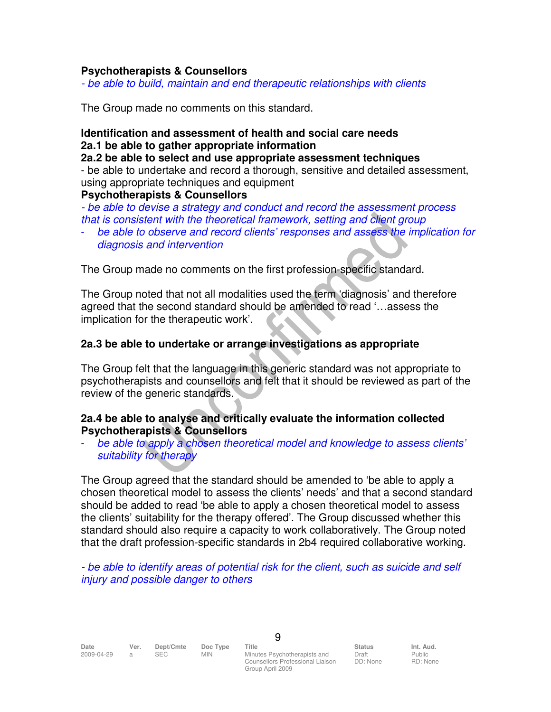#### **Psychotherapists & Counsellors**

- be able to build, maintain and end therapeutic relationships with clients

The Group made no comments on this standard.

#### **Identification and assessment of health and social care needs 2a.1 be able to gather appropriate information**

#### **2a.2 be able to select and use appropriate assessment techniques**

- be able to undertake and record a thorough, sensitive and detailed assessment, using appropriate techniques and equipment

#### **Psychotherapists & Counsellors**

- be able to devise a strategy and conduct and record the assessment process that is consistent with the theoretical framework, setting and client group

be able to observe and record clients' responses and assess the implication for diagnosis and intervention

The Group made no comments on the first profession-specific standard.

The Group noted that not all modalities used the term 'diagnosis' and therefore agreed that the second standard should be amended to read '…assess the implication for the therapeutic work'.

#### **2a.3 be able to undertake or arrange investigations as appropriate**

The Group felt that the language in this generic standard was not appropriate to psychotherapists and counsellors and felt that it should be reviewed as part of the review of the generic standards.

#### **2a.4 be able to analyse and critically evaluate the information collected Psychotherapists & Counsellors**

be able to apply a chosen theoretical model and knowledge to assess clients' suitability for therapy

The Group agreed that the standard should be amended to 'be able to apply a chosen theoretical model to assess the clients' needs' and that a second standard should be added to read 'be able to apply a chosen theoretical model to assess the clients' suitability for the therapy offered'. The Group discussed whether this standard should also require a capacity to work collaboratively. The Group noted that the draft profession-specific standards in 2b4 required collaborative working.

- be able to identify areas of potential risk for the client, such as suicide and self injury and possible danger to others

2009-04-29 a SEC MIN Minutes Psychotherapists and Counsellors Professional Liaison Group April 2009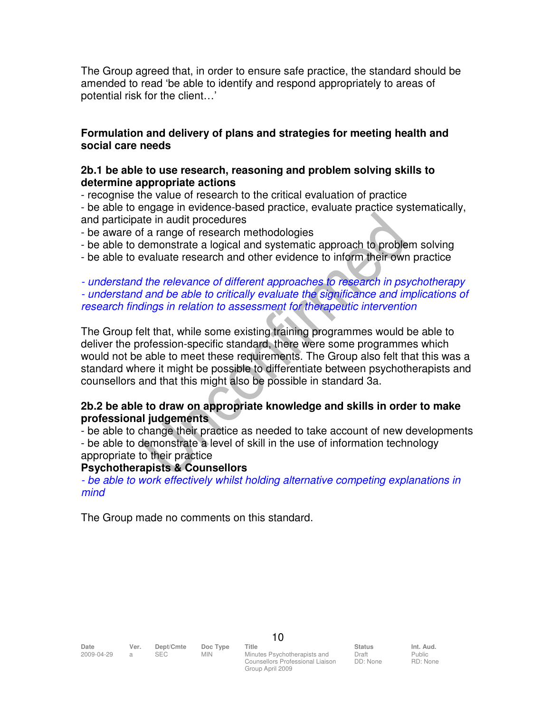The Group agreed that, in order to ensure safe practice, the standard should be amended to read 'be able to identify and respond appropriately to areas of potential risk for the client…'

## **Formulation and delivery of plans and strategies for meeting health and social care needs**

#### **2b.1 be able to use research, reasoning and problem solving skills to determine appropriate actions**

- recognise the value of research to the critical evaluation of practice

- be able to engage in evidence-based practice, evaluate practice systematically, and participate in audit procedures

- be aware of a range of research methodologies

- be able to demonstrate a logical and systematic approach to problem solving
- be able to evaluate research and other evidence to inform their own practice

- understand the relevance of different approaches to research in psychotherapy - understand and be able to critically evaluate the significance and implications of research findings in relation to assessment for therapeutic intervention

The Group felt that, while some existing training programmes would be able to deliver the profession-specific standard, there were some programmes which would not be able to meet these requirements. The Group also felt that this was a standard where it might be possible to differentiate between psychotherapists and counsellors and that this might also be possible in standard 3a.

## **2b.2 be able to draw on appropriate knowledge and skills in order to make professional judgements**

- be able to change their practice as needed to take account of new developments - be able to demonstrate a level of skill in the use of information technology appropriate to their practice

# **Psychotherapists & Counsellors**

- be able to work effectively whilst holding alternative competing explanations in mind

The Group made no comments on this standard.

Date Ver. Dept/Cmte Doc<sup>Type</sup> Title **Status Int. Aud.** 2009-04-29 a SEC MIN Minutes Psychotherapists and Counsellors Professional Liaison Group April 2009

10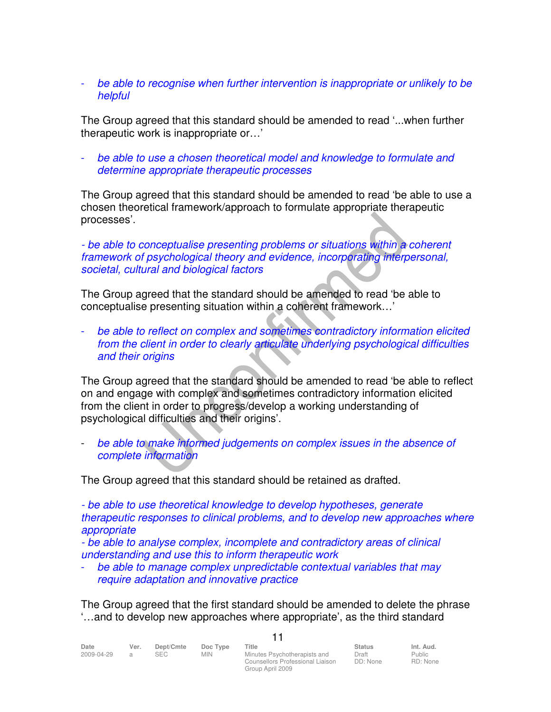## be able to recognise when further intervention is inappropriate or unlikely to be helpful

The Group agreed that this standard should be amended to read '...when further therapeutic work is inappropriate or…'

- be able to use a chosen theoretical model and knowledge to formulate and determine appropriate therapeutic processes

The Group agreed that this standard should be amended to read 'be able to use a chosen theoretical framework/approach to formulate appropriate therapeutic processes'.

## - be able to conceptualise presenting problems or situations within a coherent framework of psychological theory and evidence, incorporating interpersonal, societal, cultural and biological factors

The Group agreed that the standard should be amended to read 'be able to conceptualise presenting situation within a coherent framework…'

be able to reflect on complex and sometimes contradictory information elicited from the client in order to clearly articulate underlying psychological difficulties and their origins

The Group agreed that the standard should be amended to read 'be able to reflect on and engage with complex and sometimes contradictory information elicited from the client in order to progress/develop a working understanding of psychological difficulties and their origins'.

be able to make informed judgements on complex issues in the absence of complete information

The Group agreed that this standard should be retained as drafted.

- be able to use theoretical knowledge to develop hypotheses, generate therapeutic responses to clinical problems, and to develop new approaches where appropriate

- be able to analyse complex, incomplete and contradictory areas of clinical understanding and use this to inform therapeutic work

be able to manage complex unpredictable contextual variables that may require adaptation and innovative practice

The Group agreed that the first standard should be amended to delete the phrase '…and to develop new approaches where appropriate', as the third standard

11

| Date       | Ver. | Dept/Cmte | Doc Type   | Title                            | <b>Status</b> | Int. Aud. |
|------------|------|-----------|------------|----------------------------------|---------------|-----------|
| 2009-04-29 |      | SEC.      | <b>MIN</b> | Minutes Psychotherapists and     | Draft         | Public    |
|            |      |           |            | Counsellors Professional Liaison | DD: None      | RD: None  |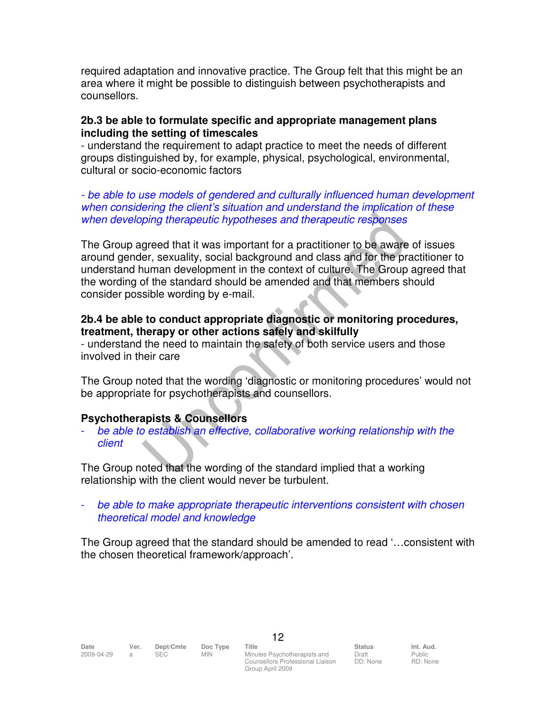required adaptation and innovative practice. The Group felt that this might be an area where it might be possible to distinguish between psychotherapists and counsellors.

## **2b.3 be able to formulate specific and appropriate management plans including the setting of timescales**

- understand the requirement to adapt practice to meet the needs of different groups distinguished by, for example, physical, psychological, environmental, cultural or socio-economic factors

- be able to use models of gendered and culturally influenced human development when considering the client's situation and understand the implication of these when developing therapeutic hypotheses and therapeutic responses

The Group agreed that it was important for a practitioner to be aware of issues around gender, sexuality, social background and class and for the practitioner to understand human development in the context of culture. The Group agreed that the wording of the standard should be amended and that members should consider possible wording by e-mail.

## **2b.4 be able to conduct appropriate diagnostic or monitoring procedures, treatment, therapy or other actions safely and skilfully**

- understand the need to maintain the safety of both service users and those involved in their care

The Group noted that the wording 'diagnostic or monitoring procedures' would not be appropriate for psychotherapists and counsellors.

# **Psychotherapists & Counsellors**

be able to establish an effective, collaborative working relationship with the client

The Group noted that the wording of the standard implied that a working relationship with the client would never be turbulent.

be able to make appropriate therapeutic interventions consistent with chosen theoretical model and knowledge

The Group agreed that the standard should be amended to read '…consistent with the chosen theoretical framework/approach'.

Counsellors Professional Liaison Group April 2009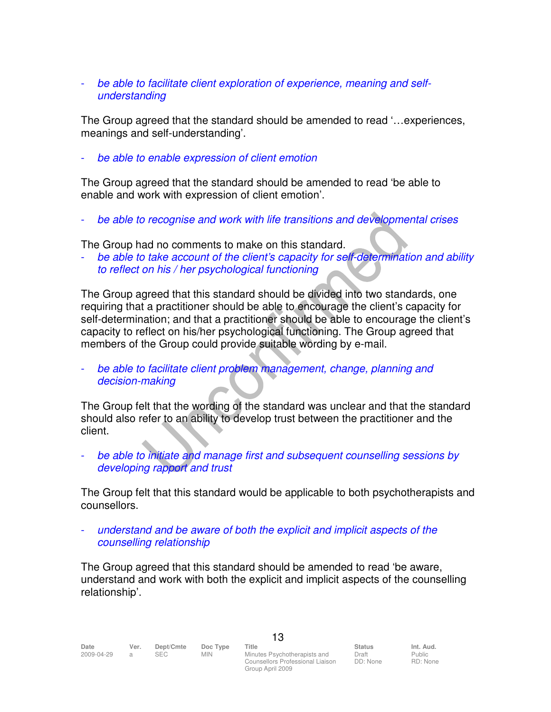## be able to facilitate client exploration of experience, meaning and selfunderstanding

The Group agreed that the standard should be amended to read '…experiences, meanings and self-understanding'.

be able to enable expression of client emotion

The Group agreed that the standard should be amended to read 'be able to enable and work with expression of client emotion'.

be able to recognise and work with life transitions and developmental crises

The Group had no comments to make on this standard.

be able to take account of the client's capacity for self-determination and ability to reflect on his / her psychological functioning

The Group agreed that this standard should be divided into two standards, one requiring that a practitioner should be able to encourage the client's capacity for self-determination; and that a practitioner should be able to encourage the client's capacity to reflect on his/her psychological functioning. The Group agreed that members of the Group could provide suitable wording by e-mail.

be able to facilitate client problem management, change, planning and decision-making

The Group felt that the wording of the standard was unclear and that the standard should also refer to an ability to develop trust between the practitioner and the client.

be able to initiate and manage first and subsequent counselling sessions by developing rapport and trust

The Group felt that this standard would be applicable to both psychotherapists and counsellors.

understand and be aware of both the explicit and implicit aspects of the counselling relationship

The Group agreed that this standard should be amended to read 'be aware, understand and work with both the explicit and implicit aspects of the counselling relationship'.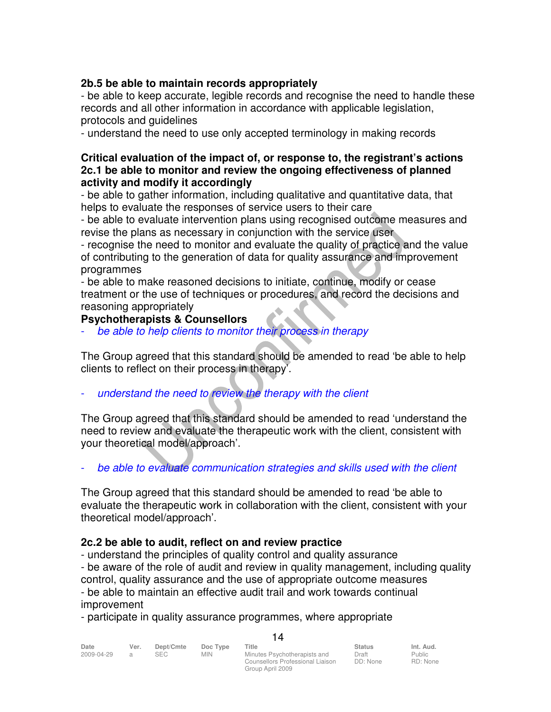# **2b.5 be able to maintain records appropriately**

- be able to keep accurate, legible records and recognise the need to handle these records and all other information in accordance with applicable legislation, protocols and guidelines

- understand the need to use only accepted terminology in making records

#### **Critical evaluation of the impact of, or response to, the registrant's actions 2c.1 be able to monitor and review the ongoing effectiveness of planned activity and modify it accordingly**

- be able to gather information, including qualitative and quantitative data, that helps to evaluate the responses of service users to their care

- be able to evaluate intervention plans using recognised outcome measures and revise the plans as necessary in conjunction with the service user

- recognise the need to monitor and evaluate the quality of practice and the value of contributing to the generation of data for quality assurance and improvement programmes

- be able to make reasoned decisions to initiate, continue, modify or cease treatment or the use of techniques or procedures, and record the decisions and reasoning appropriately

#### **Psychotherapists & Counsellors**

be able to help clients to monitor their process in therapy

The Group agreed that this standard should be amended to read 'be able to help clients to reflect on their process in therapy'.

understand the need to review the therapy with the client

The Group agreed that this standard should be amended to read 'understand the need to review and evaluate the therapeutic work with the client, consistent with your theoretical model/approach'.

be able to evaluate communication strategies and skills used with the client

The Group agreed that this standard should be amended to read 'be able to evaluate the therapeutic work in collaboration with the client, consistent with your theoretical model/approach'.

#### **2c.2 be able to audit, reflect on and review practice**

- understand the principles of quality control and quality assurance

- be aware of the role of audit and review in quality management, including quality

 $1<sub>4</sub>$ 

control, quality assurance and the use of appropriate outcome measures - be able to maintain an effective audit trail and work towards continual improvement

- participate in quality assurance programmes, where appropriate

| Date       | Ver. | Dept/Cmte | Doc Type   | Title                            | <b>Status</b> | Int. Aud. |
|------------|------|-----------|------------|----------------------------------|---------------|-----------|
| 2009-04-29 |      |           | <b>MIN</b> | Minutes Psychotherapists and     | Draft         | Public    |
|            |      |           |            | Counsellors Professional Liaison | DD: None      | RD: None  |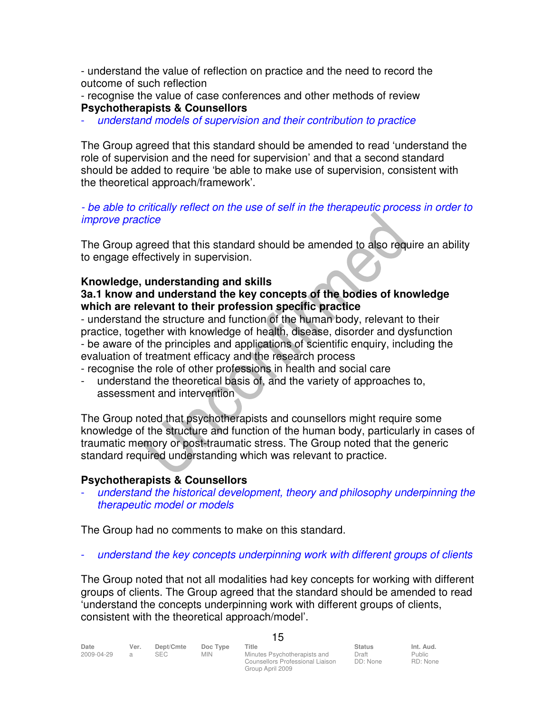- understand the value of reflection on practice and the need to record the outcome of such reflection

- recognise the value of case conferences and other methods of review **Psychotherapists & Counsellors** 

understand models of supervision and their contribution to practice

The Group agreed that this standard should be amended to read 'understand the role of supervision and the need for supervision' and that a second standard should be added to require 'be able to make use of supervision, consistent with the theoretical approach/framework'.

- be able to critically reflect on the use of self in the therapeutic process in order to improve practice

The Group agreed that this standard should be amended to also require an ability to engage effectively in supervision.

#### **Knowledge, understanding and skills 3a.1 know and understand the key concepts of the bodies of knowledge which are relevant to their profession specific practice**

- understand the structure and function of the human body, relevant to their practice, together with knowledge of health, disease, disorder and dysfunction - be aware of the principles and applications of scientific enquiry, including the evaluation of treatment efficacy and the research process

- recognise the role of other professions in health and social care
- understand the theoretical basis of, and the variety of approaches to, assessment and intervention

The Group noted that psychotherapists and counsellors might require some knowledge of the structure and function of the human body, particularly in cases of traumatic memory or post-traumatic stress. The Group noted that the generic standard required understanding which was relevant to practice.

# **Psychotherapists & Counsellors**

understand the historical development, theory and philosophy underpinning the therapeutic model or models

The Group had no comments to make on this standard.

understand the key concepts underpinning work with different groups of clients

The Group noted that not all modalities had key concepts for working with different groups of clients. The Group agreed that the standard should be amended to read 'understand the concepts underpinning work with different groups of clients, consistent with the theoretical approach/model'.

15

| Date       | Ver. | Dept/Cmte | Doc Type | Title                            | <b>Status</b> | Int. Aud. |
|------------|------|-----------|----------|----------------------------------|---------------|-----------|
| 2009-04-29 |      | SEC.      | MIN      | Minutes Psychotherapists and     | Draft         | Public    |
|            |      |           |          | Counsellors Professional Liaison | DD: None      | RD: None  |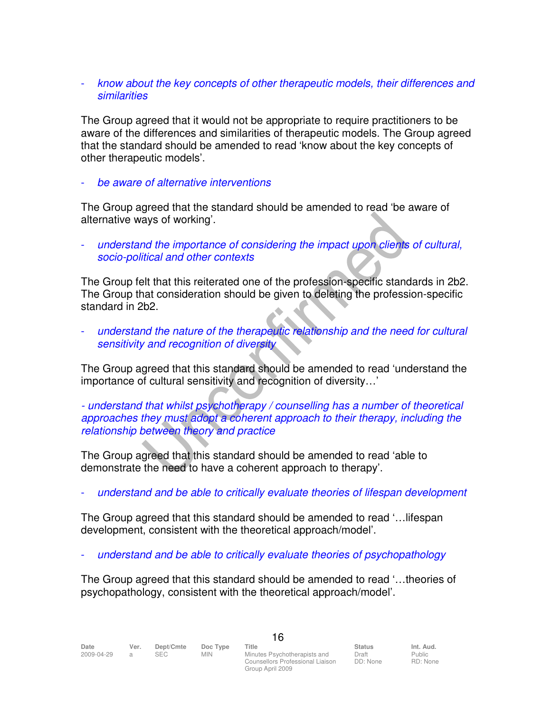## know about the key concepts of other therapeutic models, their differences and similarities

The Group agreed that it would not be appropriate to require practitioners to be aware of the differences and similarities of therapeutic models. The Group agreed that the standard should be amended to read 'know about the key concepts of other therapeutic models'.

be aware of alternative interventions

The Group agreed that the standard should be amended to read 'be aware of alternative ways of working'.

understand the importance of considering the impact upon clients of cultural, socio-political and other contexts

The Group felt that this reiterated one of the profession-specific standards in 2b2. The Group that consideration should be given to deleting the profession-specific standard in 2b2.

understand the nature of the therapeutic relationship and the need for cultural sensitivity and recognition of diversity

The Group agreed that this standard should be amended to read 'understand the importance of cultural sensitivity and recognition of diversity…'

- understand that whilst psychotherapy / counselling has a number of theoretical approaches they must adopt a coherent approach to their therapy, including the relationship between theory and practice

The Group agreed that this standard should be amended to read 'able to demonstrate the need to have a coherent approach to therapy'.

understand and be able to critically evaluate theories of lifespan development

The Group agreed that this standard should be amended to read '…lifespan development, consistent with the theoretical approach/model'.

understand and be able to critically evaluate theories of psychopathology

The Group agreed that this standard should be amended to read '…theories of psychopathology, consistent with the theoretical approach/model'.

2009-04-29 a SEC MIN Minutes Psychotherapists and Counsellors Professional Liaison Group April 2009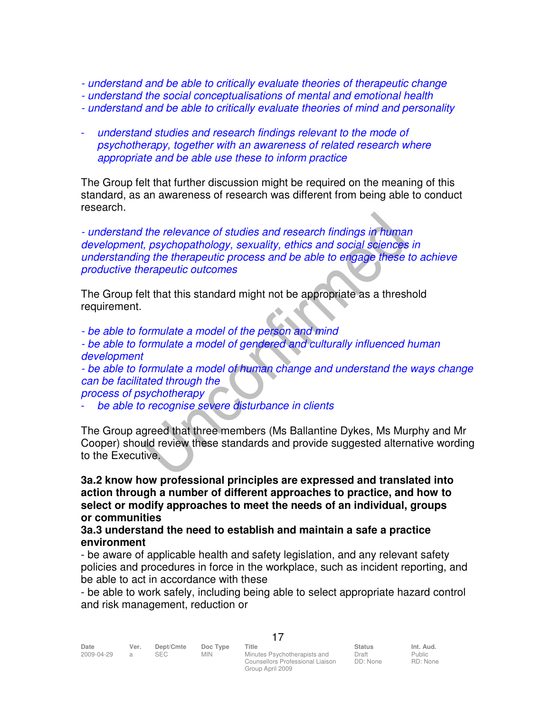- understand and be able to critically evaluate theories of therapeutic change
- understand the social conceptualisations of mental and emotional health
- understand and be able to critically evaluate theories of mind and personality
- understand studies and research findings relevant to the mode of psychotherapy, together with an awareness of related research where appropriate and be able use these to inform practice

The Group felt that further discussion might be required on the meaning of this standard, as an awareness of research was different from being able to conduct research.

- understand the relevance of studies and research findings in human development, psychopathology, sexuality, ethics and social sciences in understanding the therapeutic process and be able to engage these to achieve productive therapeutic outcomes

The Group felt that this standard might not be appropriate as a threshold requirement.

- be able to formulate a model of the person and mind

- be able to formulate a model of gendered and culturally influenced human development

- be able to formulate a model of human change and understand the ways change can be facilitated through the

process of psychotherapy

be able to recognise severe disturbance in clients

The Group agreed that three members (Ms Ballantine Dykes, Ms Murphy and Mr Cooper) should review these standards and provide suggested alternative wording to the Executive.

**3a.2 know how professional principles are expressed and translated into action through a number of different approaches to practice, and how to select or modify approaches to meet the needs of an individual, groups or communities** 

#### **3a.3 understand the need to establish and maintain a safe a practice environment**

- be aware of applicable health and safety legislation, and any relevant safety policies and procedures in force in the workplace, such as incident reporting, and be able to act in accordance with these

- be able to work safely, including being able to select appropriate hazard control and risk management, reduction or

17

Minutes Psychotherapists and Counsellors Professional Liaison DD: None Group April 2009